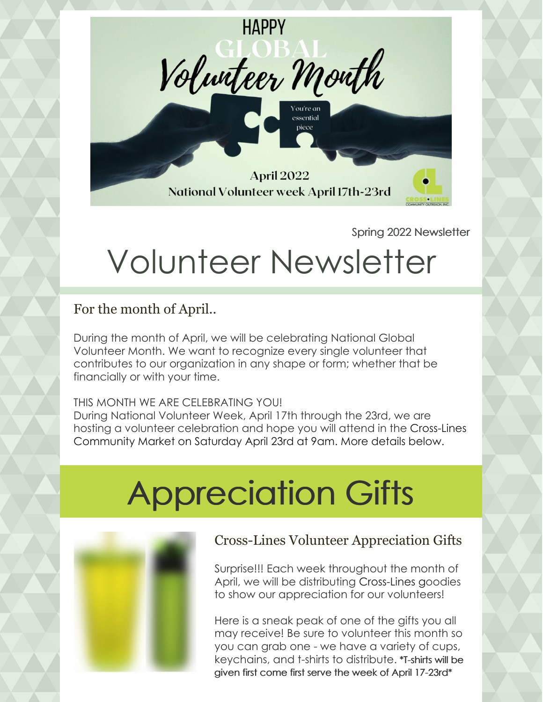

Spring 2022 Newsletter

# Volunteer Newsletter

For the month of April..

During the month of April, we will be celebrating National Global Volunteer Month. We want to recognize every single volunteer that contributes to our organization in any shape or form; whether that be financially or with your time.

#### THIS MONTH WE ARE CELEBRATING YOU!

During National Volunteer Week, April 17th through the 23rd, we are hosting a volunteer celebration and hope you will attend in the Cross-Lines Community Market on Saturday April 23rd at 9am. More details below.

# Appreciation Gifts



#### Cross-Lines Volunteer Appreciation Gifts

Surprise!!! Each week throughout the month of April, we will be distributing Cross-Lines goodies to show our appreciation for our volunteers!

Here is a sneak peak of one of the gifts you all may receive! Be sure to volunteer this month so you can grab one - we have a variety of cups, keychains, and t-shirts to distribute. \*T-shirts will be given first come first serve the week of April 17-23rd\*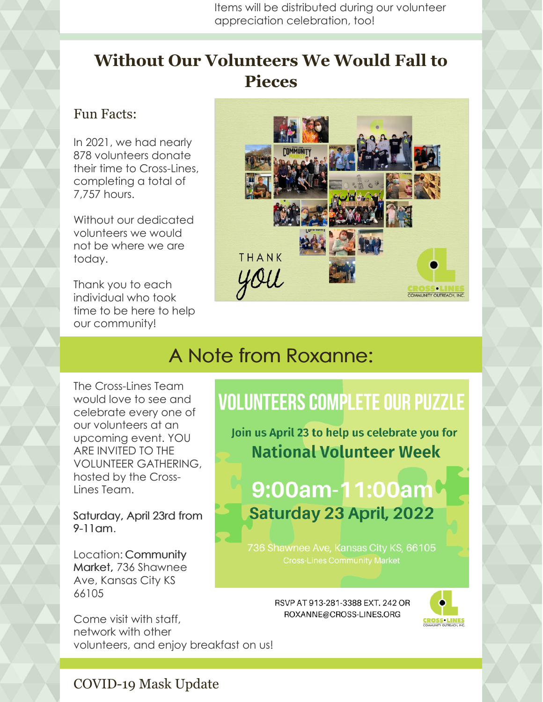Items will be distributed during our volunteer appreciation celebration, too!

### **Without Our Volunteers We Would Fall to Pieces**

#### Fun Facts:

In 2021, we had nearly 878 volunteers donate their time to Cross-Lines, completing a total of 7,757 hours.

Without our dedicated volunteers we would not be where we are today.

Thank you to each individual who took time to be here to help our community!



## A Note from Roxanne:

The Cross-Lines Team would love to see and celebrate every one of our volunteers at an upcoming event. YOU ARE INVITED TO THE VOLUNTEER GATHERING, hosted by the Cross-Lines Team.

Saturday, April 23rd from 9-11am.

Location: Community Market, 736 Shawnee Ave, Kansas City KS 66105

Come visit with staff, network with other volunteers, and enjoy breakfast on us!

## **VOLUNTEERS COMPLETE OUR PUZZLE**

Join us April 23 to help us celebrate you for **National Volunteer Week** 

9:00am-11:00am **Saturday 23 April, 2022** 

736 Shawnee Ave, Kansas City KS, 66105

RSVP AT 913-281-3388 EXT, 242 OR ROXANNE@CROSS-LINES.ORG



#### COVID-19 Mask Update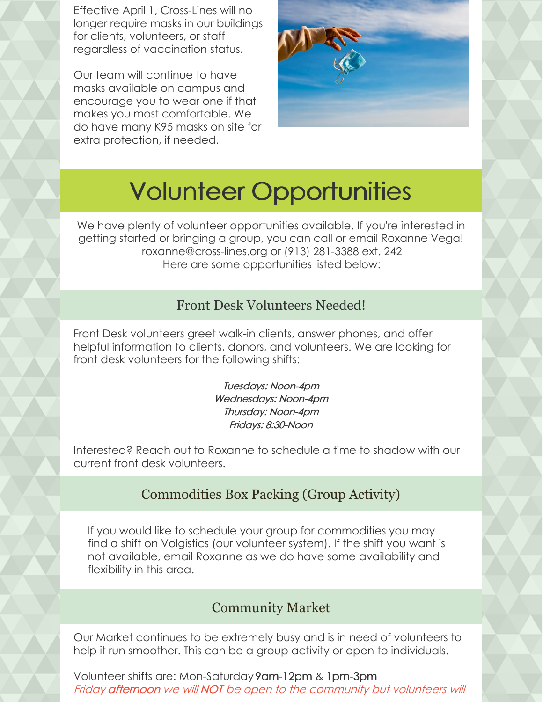Effective April 1, Cross-Lines will no longer require masks in our buildings for clients, volunteers, or staff regardless of vaccination status.

Our team will continue to have masks available on campus and encourage you to wear one if that makes you most comfortable. We do have many K95 masks on site for extra protection, if needed.



# Volunteer Opportunities

We have plenty of volunteer opportunities available. If you're interested in getting started or bringing a group, you can call or email Roxanne Vega! roxanne@cross-lines.org or (913) 281-3388 ext. 242 Here are some opportunities listed below:

#### Front Desk Volunteers Needed!

Front Desk volunteers greet walk-in clients, answer phones, and offer helpful information to clients, donors, and volunteers. We are looking for front desk volunteers for the following shifts:

> Tuesdays: Noon-4pm Wednesdays: Noon-4pm Thursday: Noon-4pm Fridays: 8:30-Noon

Interested? Reach out to Roxanne to schedule a time to shadow with our current front desk volunteers.

#### Commodities Box Packing (Group Activity)

If you would like to schedule your group for commodities you may find a shift on Volgistics (our volunteer system). If the shift you want is not available, email Roxanne as we do have some availability and flexibility in this area.

#### Community Market

Our Market continues to be extremely busy and is in need of volunteers to help it run smoother. This can be a group activity or open to individuals.

Volunteer shifts are: Mon-Saturday9am-12pm & 1pm-3pm Friday afternoon we will NOT be open to the community but volunteers will